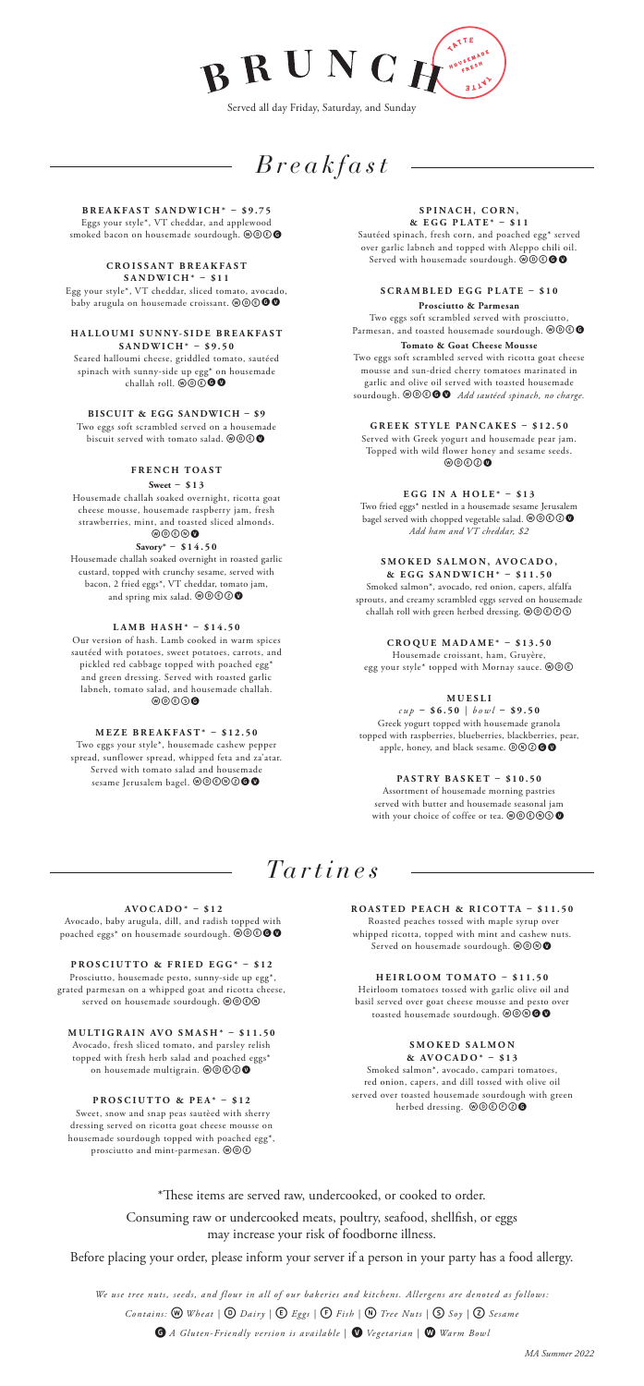

# *Breakfast*

**BREAKFAST SANDWICH\* – \$9.75** Eggs your style\*, VT cheddar, and applewood smoked bacon on housemade sourdough. @@@

#### **C R O I S S A N T B R E A K F A S T SANDWICH\* – \$11**

Egg your style\*, VT cheddar, sliced tomato, avocado, baby arugula on housemade croissant. @@©00

#### **H A L L O U M I S U N N Y- S I D E B R E A K F A S T SANDWICH\* – \$9.50**

Seared halloumi cheese, griddled tomato, sautéed spinach with sunny-side up egg\* on housemade challah roll.  $\mathbb{O} \widetilde{\mathbb{O} \mathbb{O} \mathbb{O}}$ 

**BISCUIT & EGG SANDWICH – \$9**

Two eggs soft scrambled served on a housemade<br>biscuit served with tomato salad. @@©

# **FRENCH TOAST**

**Sweet – \$13**

Housemade challah soaked overnight, ricotta goat cheese mousse, housemade raspberry jam, fresh strawberries, mint, and toasted sliced almonds. wdenv

## **Savory\* – \$14.50**

Housemade challah soaked overnight in roasted garlic custard, topped with crunchy sesame, served with bacon, 2 fried eggs\*, VT cheddar, tomato jam,<br>and spring mix salad.  $\textcircled{0} \textcircled{0} \textcircled{0}$ 

## **LAMB HASH\* – \$14.50**

Our version of hash. Lamb cooked in warm spices sautéed with potatoes, sweet potatoes, carrots, and pickled red cabbage topped with poached egg\* and green dressing. Served with roasted garlic labneh, tomato salad, and housemade challah. wdesG

#### **MEZE BREAKFAST\* – \$12.50**

Two eggs your style\*, housemade cashew pepper spread, sunflower spread, whipped feta and za'atar. Served with tomato salad and housemade sesame Jerusalem bagel. @@@@@@@

#### **SPINACH, CORN, & E G G P L AT E \* – \$ 1 1**

Sautéed spinach, fresh corn, and poached egg\* served over garlic labneh and topped with Aleppo chili oil.<br>Served with housemade sourdough. @@©**@@** 

### **SCRAMBLED EGG PLATE – \$10 Prosciutto & Parmesan**

Two eggs soft scrambled served with prosciutto, Parmesan, and toasted housemade sourdough.  $\textcircled{\textbf{0}}\textcircled{\textbf{0}}$ **Tomato & Goat Cheese Mousse** Two eggs soft scrambled served with ricotta goat cheese mousse and sun-dried cherry tomatoes marinated in garlic and olive oil served with toasted housemade sourdough. @@<sup>@</sup> **OO** *Add sautéed spinach, no charge.* 

**GREEK STYLE PANCAKES - \$12.50** Served with Greek yogurt and housemade pear jam. Topped with wild flower honey and sesame seeds. wdezv

# **EGG IN A HOLE\* – \$13**

Two fried eggs\* nestled in a housemade sesame Jerusalem<br>bagel served with chopped vegetable salad.  $\textcircled{0}\textcircled{0}$ *Add ham and VT cheddar, \$2*

## **S M O K E D S A L M O N , AV O C A D O ,**

**& EGG SANDWICH\* – \$11.50** Smoked salmon\*, avocado, red onion, capers, alfalfa sprouts, and creamy scrambled eggs served on housemade challah roll with green herbed dressing. @@@@@

**CROQUE MADAME\* – \$13.50**

Housemade croissant, ham, Gruyère,<br>egg your style\* topped with Mornay sauce. @@©

### **M U E S L I**

*cup* **– \$6.50** | *bowl* **– \$9.50** Greek yogurt topped with housemade granola topped with raspberries, blueberries, blackberries, pear, apple, honey, and black sesame.  $\circledcirc \circ \bullet \bullet$ 

#### **PASTRY BASKET – \$10.50** Assortment of housemade morning pastries served with butter and housemade seasonal jam with your choice of coffee or tea.  $\mathcal{O}\mathcal{O}\mathcal{O}$

# *Tartines*

**AVOCADO\* – \$12** Avocado, baby arugula, dill, and radish topped with poached eggs\* on housemade sourdough.  $\textcircled{0} \textcircled{0}$ 

**PROSCIUTTO & FRIED EGG\* – \$12** Prosciutto, housemade pesto, sunny-side up egg\*, grated parmesan on a whipped goat and ricotta cheese, served on housemade sourdough. @@@@

**MULTIGRAIN AVO SMASH\* – \$11.50** Avocado, fresh sliced tomato, and parsley relish topped with fresh herb salad and poached eggs\*<br>on housemade multigrain. **@@@@** 

**PROSCIUTTO & PEA\* – \$12** Sweet, snow and snap peas sautèed with sherry dressing served on ricotta goat cheese mousse on housemade sourdough topped with poached egg\*,<br>prosciutto and mint-parmesan. @@© **ROASTED PEACH & RICOTTA – \$11.50** Roasted peaches tossed with maple syrup over whipped ricotta, topped with mint and cashew nuts. Served on housemade sourdough. @ @ @

**HEIRLOOM TOMATO – \$11.50** Heirloom tomatoes tossed with garlic olive oil and basil served over goat cheese mousse and pesto over toasted housemade sourdough.  $\textcircled{\textcircled{\char'136}}\blacksquare$ 

### **SMOKED SALMON & AVOCADO\* – \$13**

Smoked salmon\*, avocado, campari tomatoes, red onion, capers, and dill tossed with olive oil served over toasted housemade sourdough with green herbed dressing. @@©©@@

\*These items are served raw, undercooked, or cooked to order. Consuming raw or undercooked meats, poultry, seafood, shellfish, or eggs may increase your risk of foodborne illness.

Before placing your order, please inform your server if a person in your party has a food allergy.

*We use tree nuts, seeds, and flour in all of our bakeries and kitchens. Allergens are denoted as follows: Contains:* w *Wheat |* D *Dairy |* E*Eggs |* F*Fish |* n*Tree Nuts |* S*Soy |* Z*Sesame*  **G** A Gluten-Friendly version is available  $\vert$  **W** Vegetarian  $\vert$  **W** Warm Bowl